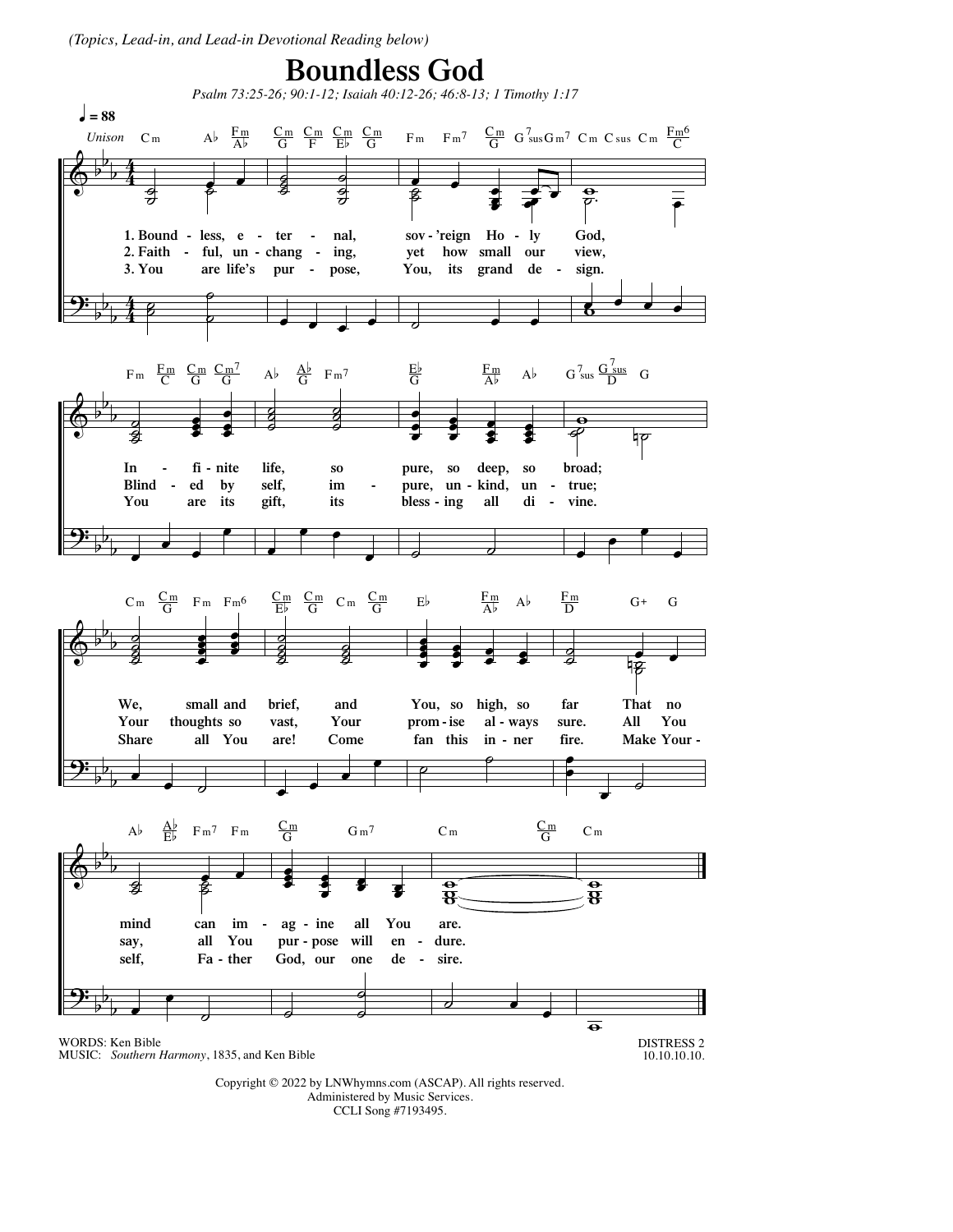*(Topics, Lead-in, and Lead-in Devotional Reading below)*

## **Boundless God**



Copyright © 2022 by LNWhymns.com (ASCAP). All rights reserved. Administered by Music Services. CCLI Song #7193495.